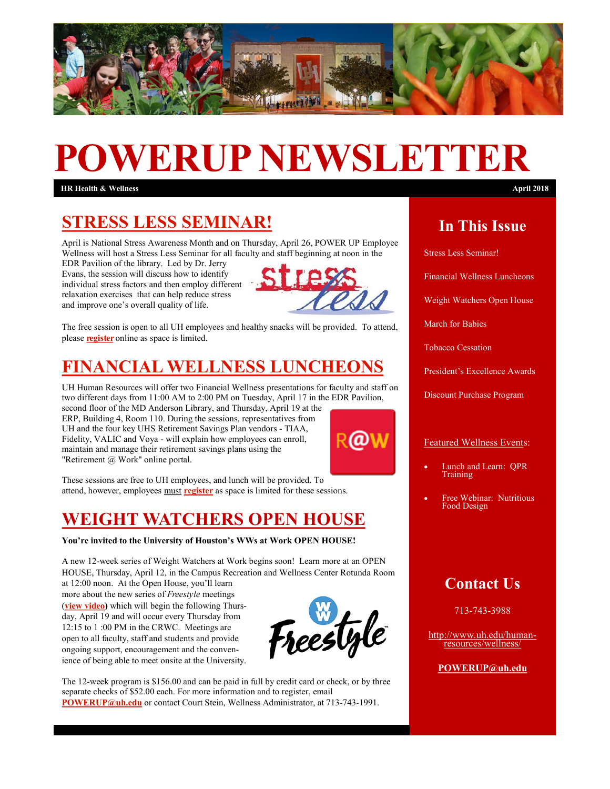

# **POWERUP NEWSLETTER**

**HR Health & Wellness April 2018**

# **[STRESS LESS SEMINAR!](https://docs.google.com/forms/d/e/1FAIpQLSeHmvVMwIUGeMx3bxQno-06AfVPBGRfNj365sFP-qwfFvj8Jg/viewform)**

April is National Stress Awareness Month and on Thursday, April 26, POWER UP Employee Wellness will host a Stress Less Seminar for all faculty and staff beginning at noon in the

EDR Pavilion of the library. Led by Dr. Jerry Evans, the session will discuss how to identify individual stress factors and then employ different relaxation exercises that can help reduce stress and improve one's overall quality of life.



The free session is open to all UH employees and healthy snacks will be provided. To attend, please **[register](https://docs.google.com/forms/d/e/1FAIpQLScSk7dzfamNmlyJ1MLSKHVBWomhUGGn5P-URN_N_I7qrZ8YuA/viewform)** online as space is limited.

# **[FINANCIAL WELLNESS LUNCHEONS](https://docs.google.com/forms/d/e/1FAIpQLSeHmvVMwIUGeMx3bxQno-06AfVPBGRfNj365sFP-qwfFvj8Jg/viewform)**

UH Human Resources will offer two Financial Wellness presentations for faculty and staff on two different days from 11:00 AM to 2:00 PM on Tuesday, April 17 in the EDR Pavilion,

second floor of the MD Anderson Library, and Thursday, April 19 at the ERP, Building 4, Room 110. During the sessions, representatives from UH and the four key UHS Retirement Savings Plan vendors - TIAA, Fidelity, VALIC and Voya - will explain how employees can enroll, maintain and manage their retirement savings plans using the "Retirement @ Work" online portal.



These sessions are free to UH employees, and lunch will be provided. To attend, however, employees must **[register](https://docs.google.com/forms/d/e/1FAIpQLSeHmvVMwIUGeMx3bxQno-06AfVPBGRfNj365sFP-qwfFvj8Jg/viewform)** as space is limited for these sessions.

## **WEIGHT WATCHERS OPEN HOUSE**

**You're invited to the University of Houston's WWs at Work OPEN HOUSE!** 

A new 12-week series of Weight Watchers at Work begins soon! Learn more at an OPEN HOUSE, Thursday, April 12, in the Campus Recreation and Wellness Center Rotunda Room

at 12:00 noon. At the Open House, you'll learn more about the new series of *Freestyle* meetings (**[view video\)](http://site-986566.bcvp0rtal.com/detail/videos/weight-watchers-health-solutions/video/3703612361001/weight-watchers-works?autoStart=true&page=2)** which will begin the following Thursday, April 19 and will occur every Thursday from 12:15 to 1 :00 PM in the CRWC. Meetings are open to all faculty, staff and students and provide ongoing support, encouragement and the convenience of being able to meet onsite at the University.



The 12-week program is \$156.00 and can be paid in full by credit card or check, or by three separate checks of \$52.00 each. For more information and to register, email **[POWERUP@uh.edu](mailto:POWERUP@uh.edu)** or contact Court Stein, Wellness Administrator, at 713-743-1991.

### **In This Issue**

Stress Less Seminar!

Financial Wellness Luncheons

Weight Watchers Open House

March for Babies

Tobacco Cessation

President's Excellence Awards

Discount Purchase Program

#### Featured Wellness Events:

- Lunch and Learn: QPR Training
- Free Webinar: Nutritious Food Design

### **Contact Us**

713-743-3988

[http://www.uh.edu/human](http://uhhelpdesk.custhelp.com/rd?1=AvNw~wqPDv8S~x7zGl1m~yKZAFsohC77Mv~m~z7~Pv8v&2=26669)[resources/wellness/](http://uhhelpdesk.custhelp.com/rd?1=AvNw~wqPDv8S~x7zGl1m~yKZAFsohC77Mv~m~z7~Pv8v&2=26669)

#### **[POWERUP@uh.edu](mailto:POWERUP@uh.edu)**